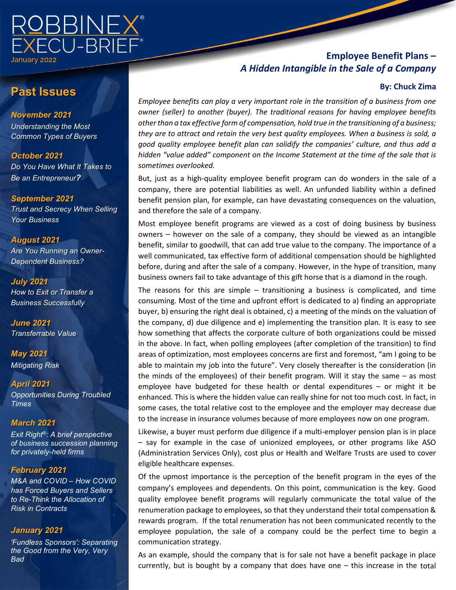

# **Past Issues**

*November 2021 Understanding the Most Common Types of Buyers*

*October 2021 Do You Have What It Takes to Be an Entrepreneur?* 

*September 2021 Trust and Secrecy When Selling Your Business*

*August 2021 Are You Running an Owner-Dependent Business?*

*July 2021 How to Exit or Transfer a Business Successfully*

*June 2021 Transferrable Value*

*May 2021 Mitigating Risk*

*April 2021 Opportunities During Troubled Times*

### *March 2021*

*Exit Right®: A brief perspective of business succession planning for privately-held firms*

### *February 2021*

*M&A and COVID – How COVID has Forced Buyers and Sellers to Re-Think the Allocation of Risk in Contracts*

### *January 2021*

 *'Fundless Sponsors': Separating the Good from the Very, Very Bad*

### **Employee Benefit Plans –**  *A Hidden Intangible in the Sale of a Company*

### **By: Chuck Zima**

*Employee benefits can play a very important role in the transition of a business from one owner (seller) to another (buyer). The traditional reasons for having employee benefits other than a tax effective form of compensation, hold true in the transitioning of a business; they are to attract and retain the very best quality employees. When a business is sold, a good quality employee benefit plan can solidify the companies' culture, and thus add a hidden "value added" component on the Income Statement at the time of the sale that is sometimes overlooked.*

But, just as a high-quality employee benefit program can do wonders in the sale of a company, there are potential liabilities as well. An unfunded liability within a defined benefit pension plan, for example, can have devastating consequences on the valuation, and therefore the sale of a company.

Most employee benefit programs are viewed as a cost of doing business by business owners – however on the sale of a company, they should be viewed as an intangible benefit, similar to goodwill, that can add true value to the company. The importance of a well communicated, tax effective form of additional compensation should be highlighted before, during and after the sale of a company. However, in the hype of transition, many business owners fail to take advantage of this gift horse that is a diamond in the rough.

The reasons for this are simple – transitioning a business is complicated, and time consuming. Most of the time and upfront effort is dedicated to a) finding an appropriate buyer, b) ensuring the right deal is obtained, c) a meeting of the minds on the valuation of the company, d) due diligence and e) implementing the transition plan. It is easy to see how something that affects the corporate culture of both organizations could be missed in the above. In fact, when polling employees (after completion of the transition) to find areas of optimization, most employees concerns are first and foremost, "am I going to be able to maintain my job into the future". Very closely thereafter is the consideration (in the minds of the employees) of their benefit program. Will it stay the same – as most employee have budgeted for these health or dental expenditures – or might it be enhanced. This is where the hidden value can really shine for not too much cost. In fact, in some cases, the total relative cost to the employee and the employer may decrease due to the increase in insurance volumes because of more employees now on one program.

Likewise, a buyer must perform due diligence if a multi-employer pension plan is in place – say for example in the case of unionized employees, or other programs like ASO (Administration Services Only), cost plus or Health and Welfare Trusts are used to cover eligible healthcare expenses.

Of the upmost importance is the perception of the benefit program in the eyes of the company's employees and dependents. On this point, communication is the key. Good quality employee benefit programs will regularly communicate the total value of the renumeration package to employees, so that they understand their total compensation & rewards program. If the total renumeration has not been communicated recently to the employee population, the sale of a company could be the perfect time to begin a communication strategy.

As an example, should the company that is for sale not have a benefit package in place currently, but is bought by a company that does have one – this increase in the total